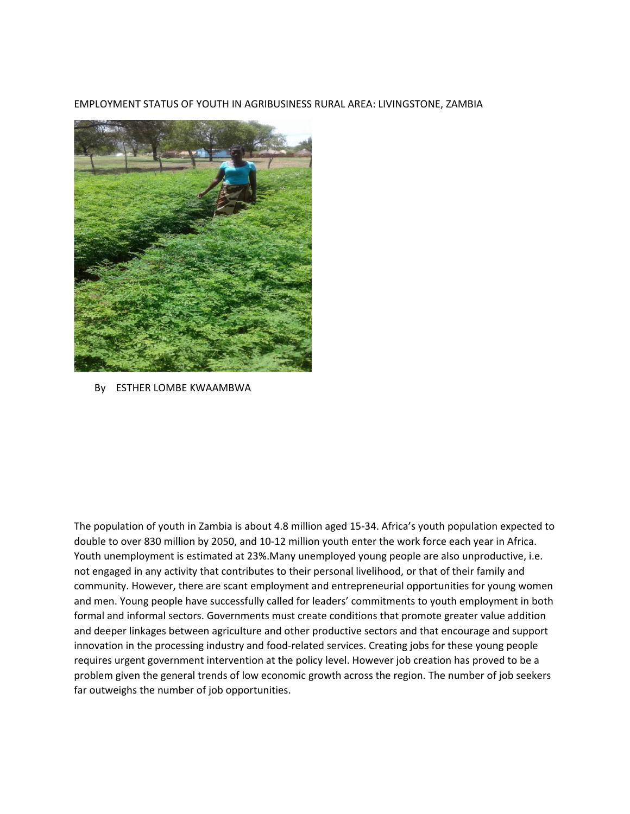EMPLOYMENT STATUS OF YOUTH IN AGRIBUSINESS RURAL AREA: LIVINGSTONE, ZAMBIA



By ESTHER LOMBE KWAAMBWA

The population of youth in Zambia is about 4.8 million aged 15-34. Africa's youth population expected to double to over 830 million by 2050, and 10-12 million youth enter the work force each year in Africa. Youth unemployment is estimated at 23%.Many unemployed young people are also unproductive, i.e. not engaged in any activity that contributes to their personal livelihood, or that of their family and community. However, there are scant employment and entrepreneurial opportunities for young women and men. Young people have successfully called for leaders' commitments to youth employment in both formal and informal sectors. Governments must create conditions that promote greater value addition and deeper linkages between agriculture and other productive sectors and that encourage and support innovation in the processing industry and food-related services. Creating jobs for these young people requires urgent government intervention at the policy level. However job creation has proved to be a problem given the general trends of low economic growth across the region. The number of job seekers far outweighs the number of job opportunities.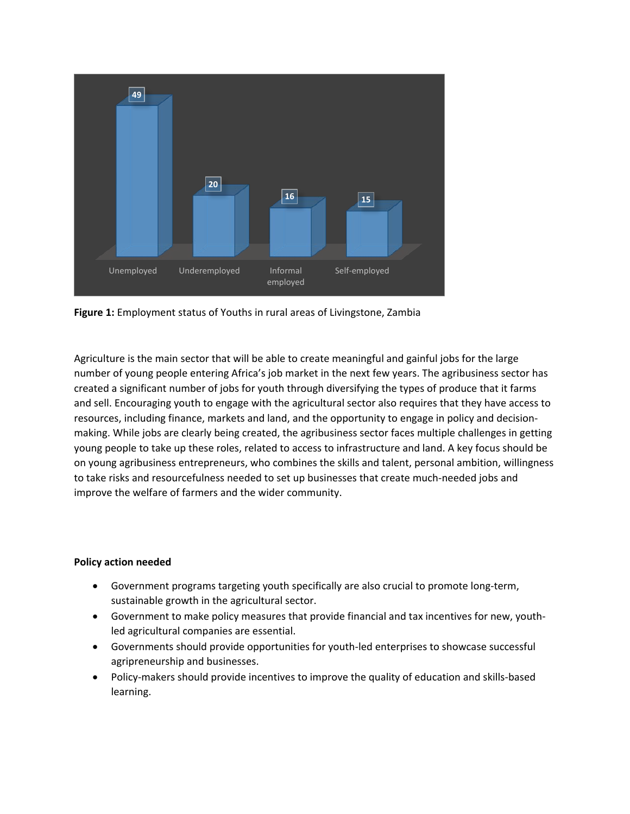

**Figure 1:** Employment status of Youths in rural areas of Livingstone, Zambia

Agriculture is the main sector that will be able to create meaningful and gainful jobs for the large number of young people entering Africa's job market in the next few years. The agribusiness sector has created a significant number of jobs for youth through diversifying the types of produce that it farms and sell. Encouraging youth to engage with the agricultural sector also requires that they have access to resources, including finance, markets and land, and the opportunity to engage in policy and decisionmaking. While jobs are clearly being created, the agribusiness sector faces multiple challenges in getting young people to take up these roles, related to access to infrastructure and land. A key focus should be on young agribusiness entrepreneurs, who combines the skills and talent, personal ambition, willingness to take risks and resourcefulness needed to set up businesses that create much-needed jobs and improve the welfare of farmers and the wider community.

## **Policy action needed**

- Government programs targeting youth specifically are also crucial to promote long-term, sustainable growth in the agricultural sector.
- Government to make policy measures that provide financial and tax incentives for new, youthled agricultural companies are essential.
- Governments should provide opportunities for youth-led enterprises to showcase successful agripreneurship and businesses.
- Policy-makers should provide incentives to improve the quality of education and skills-based learning.